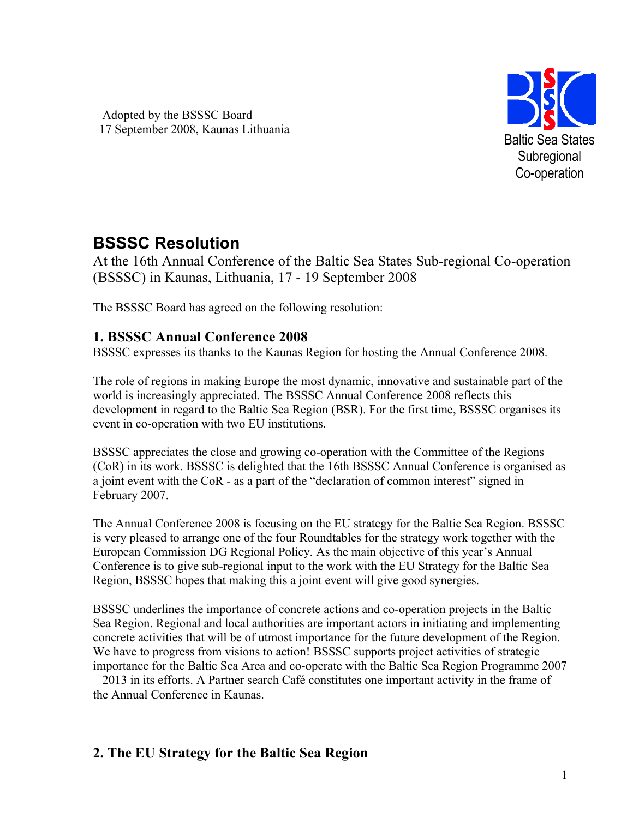Adopted by the BSSSC Board 17 September 2008, Kaunas Lithuania



# **BSSSC Resolution**

At the 16th Annual Conference of the Baltic Sea States Sub-regional Co-operation (BSSSC) in Kaunas, Lithuania, 17 - 19 September 2008

The BSSSC Board has agreed on the following resolution:

# **1. BSSSC Annual Conference 2008**

BSSSC expresses its thanks to the Kaunas Region for hosting the Annual Conference 2008.

The role of regions in making Europe the most dynamic, innovative and sustainable part of the world is increasingly appreciated. The BSSSC Annual Conference 2008 reflects this development in regard to the Baltic Sea Region (BSR). For the first time, BSSSC organises its event in co-operation with two EU institutions.

BSSSC appreciates the close and growing co-operation with the Committee of the Regions (CoR) in its work. BSSSC is delighted that the 16th BSSSC Annual Conference is organised as a joint event with the CoR - as a part of the "declaration of common interest" signed in February 2007.

The Annual Conference 2008 is focusing on the EU strategy for the Baltic Sea Region. BSSSC is very pleased to arrange one of the four Roundtables for the strategy work together with the European Commission DG Regional Policy. As the main objective of this year's Annual Conference is to give sub-regional input to the work with the EU Strategy for the Baltic Sea Region, BSSSC hopes that making this a joint event will give good synergies.

BSSSC underlines the importance of concrete actions and co-operation projects in the Baltic Sea Region. Regional and local authorities are important actors in initiating and implementing concrete activities that will be of utmost importance for the future development of the Region. We have to progress from visions to action! BSSSC supports project activities of strategic importance for the Baltic Sea Area and co-operate with the Baltic Sea Region Programme 2007 – 2013 in its efforts. A Partner search Café constitutes one important activity in the frame of the Annual Conference in Kaunas.

# **2. The EU Strategy for the Baltic Sea Region**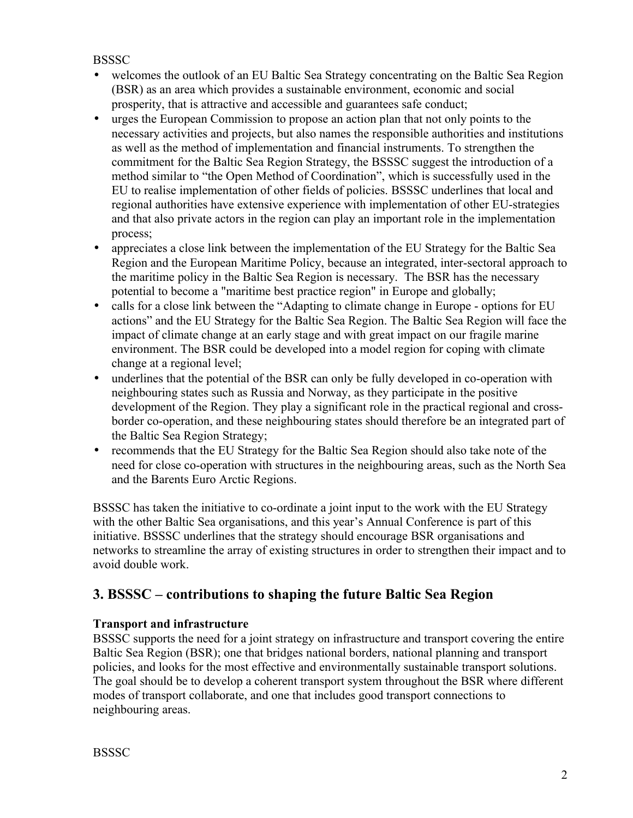#### **BSSSC**

- welcomes the outlook of an EU Baltic Sea Strategy concentrating on the Baltic Sea Region (BSR) as an area which provides a sustainable environment, economic and social prosperity, that is attractive and accessible and guarantees safe conduct;
- urges the European Commission to propose an action plan that not only points to the necessary activities and projects, but also names the responsible authorities and institutions as well as the method of implementation and financial instruments. To strengthen the commitment for the Baltic Sea Region Strategy, the BSSSC suggest the introduction of a method similar to "the Open Method of Coordination", which is successfully used in the EU to realise implementation of other fields of policies. BSSSC underlines that local and regional authorities have extensive experience with implementation of other EU-strategies and that also private actors in the region can play an important role in the implementation process;
- appreciates a close link between the implementation of the EU Strategy for the Baltic Sea Region and the European Maritime Policy, because an integrated, inter-sectoral approach to the maritime policy in the Baltic Sea Region is necessary. The BSR has the necessary potential to become a "maritime best practice region" in Europe and globally;
- calls for a close link between the "Adapting to climate change in Europe options for EU actions" and the EU Strategy for the Baltic Sea Region. The Baltic Sea Region will face the impact of climate change at an early stage and with great impact on our fragile marine environment. The BSR could be developed into a model region for coping with climate change at a regional level;
- underlines that the potential of the BSR can only be fully developed in co-operation with neighbouring states such as Russia and Norway, as they participate in the positive development of the Region. They play a significant role in the practical regional and crossborder co-operation, and these neighbouring states should therefore be an integrated part of the Baltic Sea Region Strategy;
- recommends that the EU Strategy for the Baltic Sea Region should also take note of the need for close co-operation with structures in the neighbouring areas, such as the North Sea and the Barents Euro Arctic Regions.

BSSSC has taken the initiative to co-ordinate a joint input to the work with the EU Strategy with the other Baltic Sea organisations, and this year's Annual Conference is part of this initiative. BSSSC underlines that the strategy should encourage BSR organisations and networks to streamline the array of existing structures in order to strengthen their impact and to avoid double work.

# **3. BSSSC – contributions to shaping the future Baltic Sea Region**

#### **Transport and infrastructure**

BSSSC supports the need for a joint strategy on infrastructure and transport covering the entire Baltic Sea Region (BSR); one that bridges national borders, national planning and transport policies, and looks for the most effective and environmentally sustainable transport solutions. The goal should be to develop a coherent transport system throughout the BSR where different modes of transport collaborate, and one that includes good transport connections to neighbouring areas.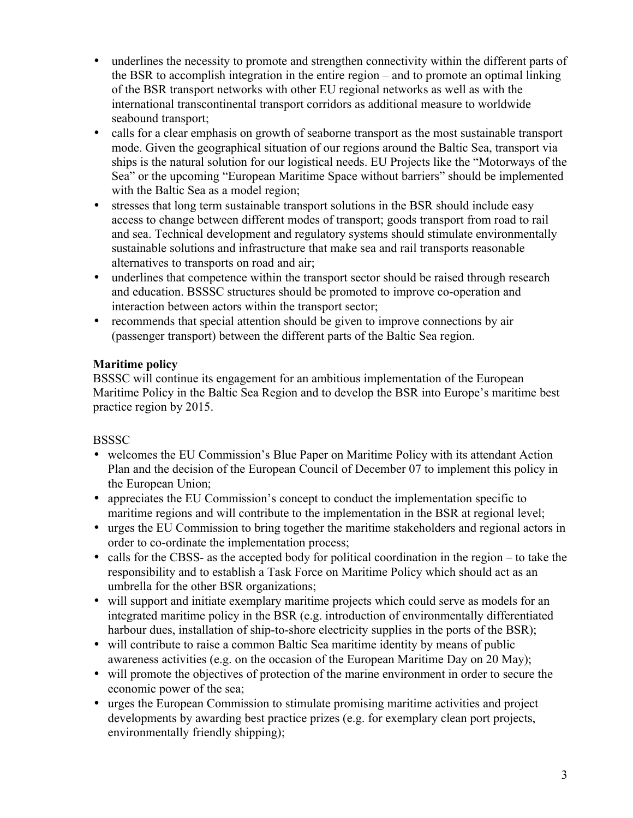- underlines the necessity to promote and strengthen connectivity within the different parts of the BSR to accomplish integration in the entire region – and to promote an optimal linking of the BSR transport networks with other EU regional networks as well as with the international transcontinental transport corridors as additional measure to worldwide seabound transport;
- calls for a clear emphasis on growth of seaborne transport as the most sustainable transport mode. Given the geographical situation of our regions around the Baltic Sea, transport via ships is the natural solution for our logistical needs. EU Projects like the "Motorways of the Sea" or the upcoming "European Maritime Space without barriers" should be implemented with the Baltic Sea as a model region;
- stresses that long term sustainable transport solutions in the BSR should include easy access to change between different modes of transport; goods transport from road to rail and sea. Technical development and regulatory systems should stimulate environmentally sustainable solutions and infrastructure that make sea and rail transports reasonable alternatives to transports on road and air;
- underlines that competence within the transport sector should be raised through research and education. BSSSC structures should be promoted to improve co-operation and interaction between actors within the transport sector;
- recommends that special attention should be given to improve connections by air (passenger transport) between the different parts of the Baltic Sea region.

#### **Maritime policy**

BSSSC will continue its engagement for an ambitious implementation of the European Maritime Policy in the Baltic Sea Region and to develop the BSR into Europe's maritime best practice region by 2015.

### **BSSSC**

- welcomes the EU Commission's Blue Paper on Maritime Policy with its attendant Action Plan and the decision of the European Council of December 07 to implement this policy in the European Union;
- appreciates the EU Commission's concept to conduct the implementation specific to maritime regions and will contribute to the implementation in the BSR at regional level;
- urges the EU Commission to bring together the maritime stakeholders and regional actors in order to co-ordinate the implementation process;
- calls for the CBSS- as the accepted body for political coordination in the region to take the responsibility and to establish a Task Force on Maritime Policy which should act as an umbrella for the other BSR organizations;
- will support and initiate exemplary maritime projects which could serve as models for an integrated maritime policy in the BSR (e.g. introduction of environmentally differentiated harbour dues, installation of ship-to-shore electricity supplies in the ports of the BSR);
- will contribute to raise a common Baltic Sea maritime identity by means of public awareness activities (e.g. on the occasion of the European Maritime Day on 20 May);
- will promote the objectives of protection of the marine environment in order to secure the economic power of the sea;
- urges the European Commission to stimulate promising maritime activities and project developments by awarding best practice prizes (e.g. for exemplary clean port projects, environmentally friendly shipping);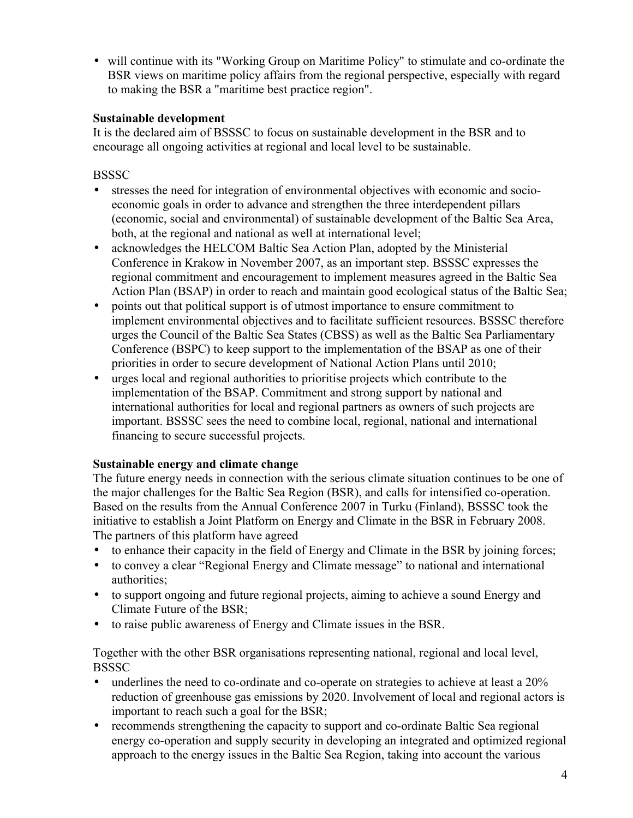• will continue with its "Working Group on Maritime Policy" to stimulate and co-ordinate the BSR views on maritime policy affairs from the regional perspective, especially with regard to making the BSR a "maritime best practice region".

#### **Sustainable development**

It is the declared aim of BSSSC to focus on sustainable development in the BSR and to encourage all ongoing activities at regional and local level to be sustainable.

**BSSSC** 

- stresses the need for integration of environmental objectives with economic and socioeconomic goals in order to advance and strengthen the three interdependent pillars (economic, social and environmental) of sustainable development of the Baltic Sea Area, both, at the regional and national as well at international level;
- acknowledges the HELCOM Baltic Sea Action Plan, adopted by the Ministerial Conference in Krakow in November 2007, as an important step. BSSSC expresses the regional commitment and encouragement to implement measures agreed in the Baltic Sea Action Plan (BSAP) in order to reach and maintain good ecological status of the Baltic Sea;
- points out that political support is of utmost importance to ensure commitment to implement environmental objectives and to facilitate sufficient resources. BSSSC therefore urges the Council of the Baltic Sea States (CBSS) as well as the Baltic Sea Parliamentary Conference (BSPC) to keep support to the implementation of the BSAP as one of their priorities in order to secure development of National Action Plans until 2010;
- urges local and regional authorities to prioritise projects which contribute to the implementation of the BSAP. Commitment and strong support by national and international authorities for local and regional partners as owners of such projects are important. BSSSC sees the need to combine local, regional, national and international financing to secure successful projects.

#### **Sustainable energy and climate change**

The future energy needs in connection with the serious climate situation continues to be one of the major challenges for the Baltic Sea Region (BSR), and calls for intensified co-operation. Based on the results from the Annual Conference 2007 in Turku (Finland), BSSSC took the initiative to establish a Joint Platform on Energy and Climate in the BSR in February 2008. The partners of this platform have agreed

- to enhance their capacity in the field of Energy and Climate in the BSR by joining forces;
- to convey a clear "Regional Energy and Climate message" to national and international authorities;
- to support ongoing and future regional projects, aiming to achieve a sound Energy and Climate Future of the BSR;
- to raise public awareness of Energy and Climate issues in the BSR.

Together with the other BSR organisations representing national, regional and local level, **BSSSC** 

- underlines the need to co-ordinate and co-operate on strategies to achieve at least a 20% reduction of greenhouse gas emissions by 2020. Involvement of local and regional actors is important to reach such a goal for the BSR;
- recommends strengthening the capacity to support and co-ordinate Baltic Sea regional energy co-operation and supply security in developing an integrated and optimized regional approach to the energy issues in the Baltic Sea Region, taking into account the various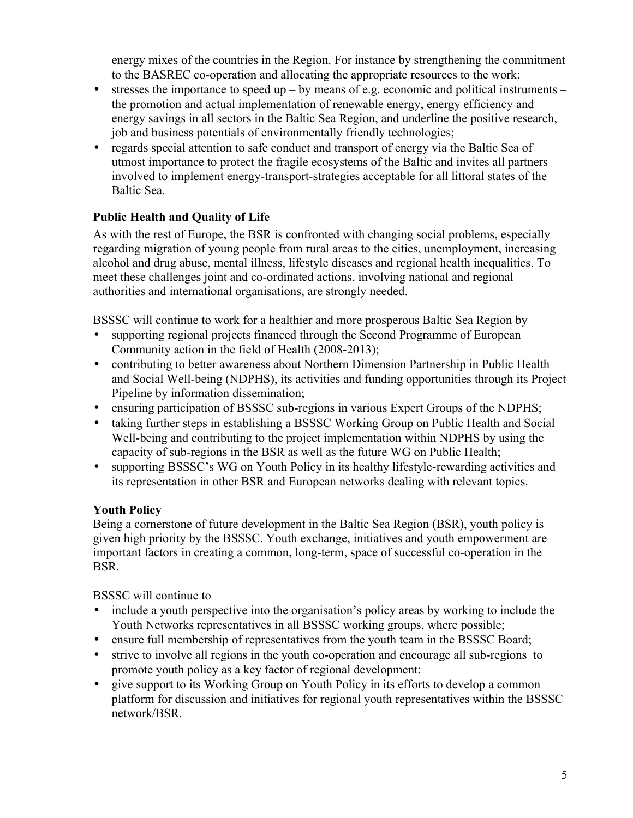energy mixes of the countries in the Region. For instance by strengthening the commitment to the BASREC co-operation and allocating the appropriate resources to the work;

- stresses the importance to speed up by means of e.g. economic and political instruments the promotion and actual implementation of renewable energy, energy efficiency and energy savings in all sectors in the Baltic Sea Region, and underline the positive research, job and business potentials of environmentally friendly technologies;
- regards special attention to safe conduct and transport of energy via the Baltic Sea of utmost importance to protect the fragile ecosystems of the Baltic and invites all partners involved to implement energy-transport-strategies acceptable for all littoral states of the Baltic Sea.

### **Public Health and Quality of Life**

As with the rest of Europe, the BSR is confronted with changing social problems, especially regarding migration of young people from rural areas to the cities, unemployment, increasing alcohol and drug abuse, mental illness, lifestyle diseases and regional health inequalities. To meet these challenges joint and co-ordinated actions, involving national and regional authorities and international organisations, are strongly needed.

BSSSC will continue to work for a healthier and more prosperous Baltic Sea Region by

- supporting regional projects financed through the Second Programme of European Community action in the field of Health (2008-2013);
- contributing to better awareness about Northern Dimension Partnership in Public Health and Social Well-being (NDPHS), its activities and funding opportunities through its Project Pipeline by information dissemination;
- ensuring participation of BSSSC sub-regions in various Expert Groups of the NDPHS;
- taking further steps in establishing a BSSSC Working Group on Public Health and Social Well-being and contributing to the project implementation within NDPHS by using the capacity of sub-regions in the BSR as well as the future WG on Public Health;
- supporting BSSSC's WG on Youth Policy in its healthy lifestyle-rewarding activities and its representation in other BSR and European networks dealing with relevant topics.

#### **Youth Policy**

Being a cornerstone of future development in the Baltic Sea Region (BSR), youth policy is given high priority by the BSSSC. Youth exchange, initiatives and youth empowerment are important factors in creating a common, long-term, space of successful co-operation in the BSR.

BSSSC will continue to

- include a youth perspective into the organisation's policy areas by working to include the Youth Networks representatives in all BSSSC working groups, where possible;
- ensure full membership of representatives from the youth team in the BSSSC Board;
- strive to involve all regions in the youth co-operation and encourage all sub-regions to promote youth policy as a key factor of regional development;
- give support to its Working Group on Youth Policy in its efforts to develop a common platform for discussion and initiatives for regional youth representatives within the BSSSC network/BSR.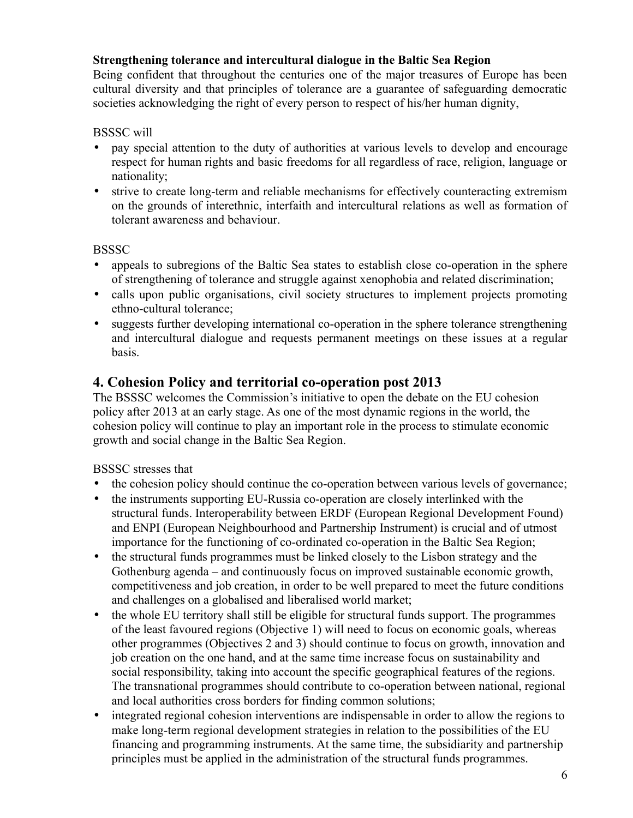#### **Strengthening tolerance and intercultural dialogue in the Baltic Sea Region**

Being confident that throughout the centuries one of the major treasures of Europe has been cultural diversity and that principles of tolerance are a guarantee of safeguarding democratic societies acknowledging the right of every person to respect of his/her human dignity,

#### BSSSC will

- pay special attention to the duty of authorities at various levels to develop and encourage respect for human rights and basic freedoms for all regardless of race, religion, language or nationality;
- strive to create long-term and reliable mechanisms for effectively counteracting extremism on the grounds of interethnic, interfaith and intercultural relations as well as formation of tolerant awareness and behaviour.

#### **BSSSC**

- appeals to subregions of the Baltic Sea states to establish close co-operation in the sphere of strengthening of tolerance and struggle against xenophobia and related discrimination;
- calls upon public organisations, civil society structures to implement projects promoting ethno-cultural tolerance;
- suggests further developing international co-operation in the sphere tolerance strengthening and intercultural dialogue and requests permanent meetings on these issues at a regular basis.

## **4. Cohesion Policy and territorial co-operation post 2013**

The BSSSC welcomes the Commission's initiative to open the debate on the EU cohesion policy after 2013 at an early stage. As one of the most dynamic regions in the world, the cohesion policy will continue to play an important role in the process to stimulate economic growth and social change in the Baltic Sea Region.

BSSSC stresses that

- the cohesion policy should continue the co-operation between various levels of governance;
- the instruments supporting EU-Russia co-operation are closely interlinked with the structural funds. Interoperability between ERDF (European Regional Development Found) and ENPI (European Neighbourhood and Partnership Instrument) is crucial and of utmost importance for the functioning of co-ordinated co-operation in the Baltic Sea Region;
- the structural funds programmes must be linked closely to the Lisbon strategy and the Gothenburg agenda – and continuously focus on improved sustainable economic growth, competitiveness and job creation, in order to be well prepared to meet the future conditions and challenges on a globalised and liberalised world market;
- the whole EU territory shall still be eligible for structural funds support. The programmes of the least favoured regions (Objective 1) will need to focus on economic goals, whereas other programmes (Objectives 2 and 3) should continue to focus on growth, innovation and job creation on the one hand, and at the same time increase focus on sustainability and social responsibility, taking into account the specific geographical features of the regions. The transnational programmes should contribute to co-operation between national, regional and local authorities cross borders for finding common solutions;
- integrated regional cohesion interventions are indispensable in order to allow the regions to make long-term regional development strategies in relation to the possibilities of the EU financing and programming instruments. At the same time, the subsidiarity and partnership principles must be applied in the administration of the structural funds programmes.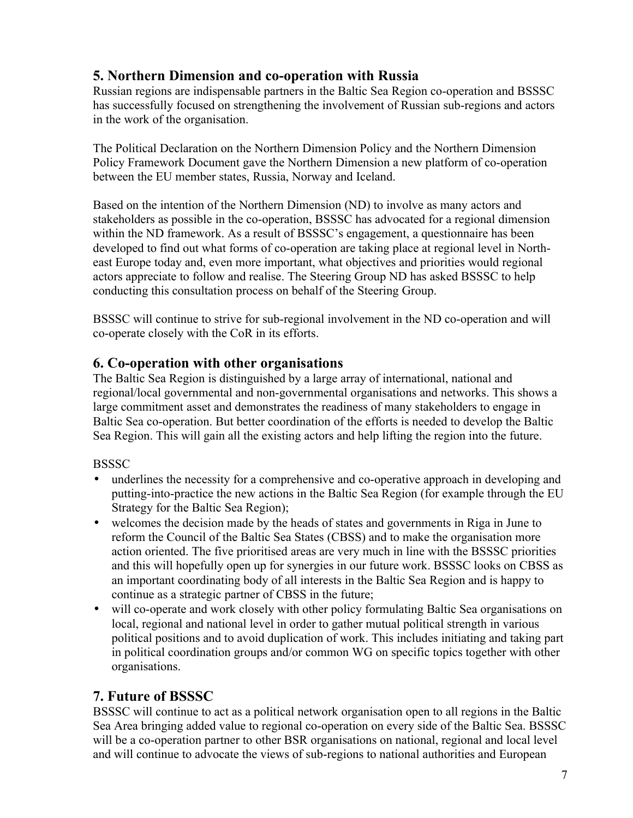# **5. Northern Dimension and co-operation with Russia**

Russian regions are indispensable partners in the Baltic Sea Region co-operation and BSSSC has successfully focused on strengthening the involvement of Russian sub-regions and actors in the work of the organisation.

The Political Declaration on the Northern Dimension Policy and the Northern Dimension Policy Framework Document gave the Northern Dimension a new platform of co-operation between the EU member states, Russia, Norway and Iceland.

Based on the intention of the Northern Dimension (ND) to involve as many actors and stakeholders as possible in the co-operation, BSSSC has advocated for a regional dimension within the ND framework. As a result of BSSSC's engagement, a questionnaire has been developed to find out what forms of co-operation are taking place at regional level in Northeast Europe today and, even more important, what objectives and priorities would regional actors appreciate to follow and realise. The Steering Group ND has asked BSSSC to help conducting this consultation process on behalf of the Steering Group.

BSSSC will continue to strive for sub-regional involvement in the ND co-operation and will co-operate closely with the CoR in its efforts.

### **6. Co-operation with other organisations**

The Baltic Sea Region is distinguished by a large array of international, national and regional/local governmental and non-governmental organisations and networks. This shows a large commitment asset and demonstrates the readiness of many stakeholders to engage in Baltic Sea co-operation. But better coordination of the efforts is needed to develop the Baltic Sea Region. This will gain all the existing actors and help lifting the region into the future.

#### **BSSSC**

- underlines the necessity for a comprehensive and co-operative approach in developing and putting-into-practice the new actions in the Baltic Sea Region (for example through the EU Strategy for the Baltic Sea Region);
- welcomes the decision made by the heads of states and governments in Riga in June to reform the Council of the Baltic Sea States (CBSS) and to make the organisation more action oriented. The five prioritised areas are very much in line with the BSSSC priorities and this will hopefully open up for synergies in our future work. BSSSC looks on CBSS as an important coordinating body of all interests in the Baltic Sea Region and is happy to continue as a strategic partner of CBSS in the future;
- will co-operate and work closely with other policy formulating Baltic Sea organisations on local, regional and national level in order to gather mutual political strength in various political positions and to avoid duplication of work. This includes initiating and taking part in political coordination groups and/or common WG on specific topics together with other organisations.

### **7. Future of BSSSC**

BSSSC will continue to act as a political network organisation open to all regions in the Baltic Sea Area bringing added value to regional co-operation on every side of the Baltic Sea. BSSSC will be a co-operation partner to other BSR organisations on national, regional and local level and will continue to advocate the views of sub-regions to national authorities and European